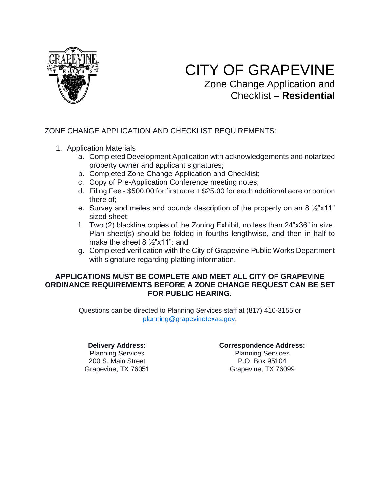

# CITY OF GRAPEVINE

Zone Change Application and Checklist – **Residential**

## ZONE CHANGE APPLICATION AND CHECKLIST REQUIREMENTS:

- 1. Application Materials
	- a. Completed Development Application with acknowledgements and notarized property owner and applicant signatures;
	- b. Completed Zone Change Application and Checklist;
	- c. Copy of Pre-Application Conference meeting notes;
	- d. Filing Fee \$500.00 for first acre + \$25.00 for each additional acre or portion there of;
	- e. Survey and metes and bounds description of the property on an 8 ½"x11" sized sheet;
	- f. Two (2) blackline copies of the Zoning Exhibit, no less than 24"x36" in size. Plan sheet(s) should be folded in fourths lengthwise, and then in half to make the sheet 8 ½"x11"; and
	- g. Completed verification with the City of Grapevine Public Works Department with signature regarding platting information.

## **APPLICATIONS MUST BE COMPLETE AND MEET ALL CITY OF GRAPEVINE ORDINANCE REQUIREMENTS BEFORE A ZONE CHANGE REQUEST CAN BE SET FOR PUBLIC HEARING.**

Questions can be directed to Planning Services staff at (817) 410-3155 or [planning@grapevinetexas.gov.](mailto:planning@grapevinetexas.gov)

#### **Delivery Address:** Planning Services 200 S. Main Street Grapevine, TX 76051

#### **Correspondence Address:**

Planning Services P.O. Box 95104 Grapevine, TX 76099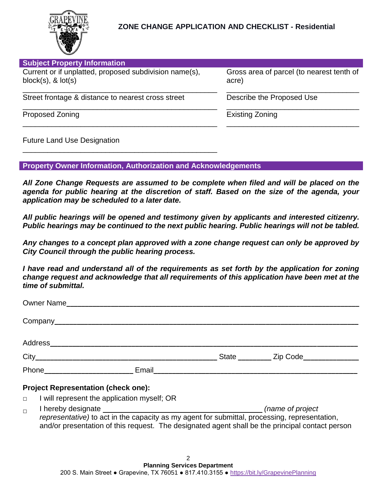

| Gross area of parcel (to nearest tenth of<br>acre) |
|----------------------------------------------------|
| Describe the Proposed Use                          |
| Existing Zoning                                    |
|                                                    |

Future Land Use Designation

**Property Owner Information, Authorization and Acknowledgements**

\_\_\_\_\_\_\_\_\_\_\_\_\_\_\_\_\_\_\_\_\_\_\_\_\_\_\_\_\_\_\_\_\_\_\_\_\_\_\_\_\_\_\_\_\_\_\_

*All Zone Change Requests are assumed to be complete when filed and will be placed on the agenda for public hearing at the discretion of staff. Based on the size of the agenda, your application may be scheduled to a later date.*

*All public hearings will be opened and testimony given by applicants and interested citizenry. Public hearings may be continued to the next public hearing. Public hearings will not be tabled.* 

*Any changes to a concept plan approved with a zone change request can only be approved by City Council through the public hearing process.*

*I have read and understand all of the requirements as set forth by the application for zoning change request and acknowledge that all requirements of this application have been met at the time of submittal.*

|        | Owner Name                                  |                                                                                                                                                                                                  |
|--------|---------------------------------------------|--------------------------------------------------------------------------------------------------------------------------------------------------------------------------------------------------|
|        |                                             |                                                                                                                                                                                                  |
|        |                                             |                                                                                                                                                                                                  |
|        |                                             | State __________ Zip Code_______________                                                                                                                                                         |
|        |                                             |                                                                                                                                                                                                  |
|        | <b>Project Representation (check one):</b>  |                                                                                                                                                                                                  |
| $\Box$ | I will represent the application myself; OR |                                                                                                                                                                                                  |
| $\Box$ |                                             | representative) to act in the capacity as my agent for submittal, processing, representation,<br>and/or presentation of this request. The designated agent shall be the principal contact person |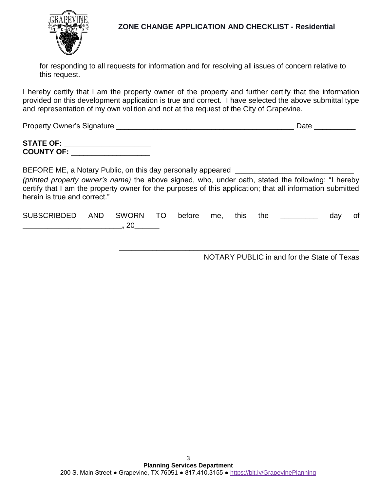

**ZONE CHANGE APPLICATION AND CHECKLIST - Residential**

for responding to all requests for information and for resolving all issues of concern relative to this request.

I hereby certify that I am the property owner of the property and further certify that the information provided on this development application is true and correct. I have selected the above submittal type and representation of my own volition and not at the request of the City of Grapevine.

| <b>Property Owner's Signature</b> | )ate |
|-----------------------------------|------|
|                                   |      |

| <b>STATE OF:</b>  |  |
|-------------------|--|
| <b>COUNTY OF:</b> |  |

BEFORE ME, a Notary Public, on this day personally appeared \_

*(printed property owner's name)* the above signed, who, under oath, stated the following: "I hereby certify that I am the property owner for the purposes of this application; that all information submitted herein is true and correct."

| <b>SUBSCRIBDED</b> | AND SWORN TO before me, |  | this | the | dav | Οt |
|--------------------|-------------------------|--|------|-----|-----|----|
|                    |                         |  |      |     |     |    |

NOTARY PUBLIC in and for the State of Texas

**\_\_\_\_\_\_\_\_\_\_\_\_\_\_\_\_\_\_\_\_\_\_\_\_\_\_\_\_\_\_\_\_\_\_\_\_\_\_\_\_\_\_\_\_\_\_\_\_\_\_\_\_\_\_\_\_\_\_**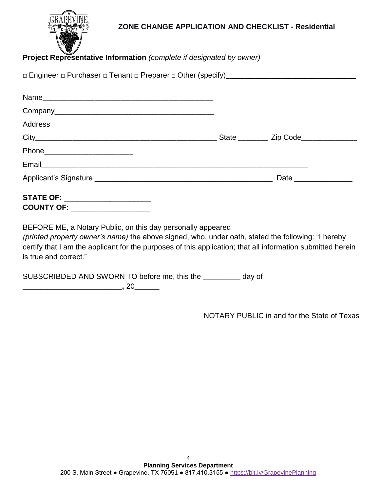

## **ZONE CHANGE APPLICATION AND CHECKLIST - Residential**

# **Project Representative Information** *(complete if designated by owner)*

| Email experience and the contract of the contract of the contract of the contract of the contract of the contract of the contract of the contract of the contract of the contract of the contract of the contract of the contr                                                                                                 |      |
|--------------------------------------------------------------------------------------------------------------------------------------------------------------------------------------------------------------------------------------------------------------------------------------------------------------------------------|------|
|                                                                                                                                                                                                                                                                                                                                | Date |
| <b>STATE OF: _____________________</b><br>COUNTY OF: ___________________                                                                                                                                                                                                                                                       |      |
| BEFORE ME, a Notary Public, on this day personally appeared ____________________<br>(printed property owner's name) the above signed, who, under oath, stated the following: "I hereby<br>certify that I am the applicant for the purposes of this application; that all information submitted herein<br>is true and correct." |      |
| SUBSCRIBDED AND SWORN TO before me, this the _________ day of                                                                                                                                                                                                                                                                  |      |

**\_\_\_\_\_\_\_\_\_\_\_\_\_\_\_\_\_\_\_\_\_\_\_\_,** 20**\_\_\_\_\_\_**

NOTARY PUBLIC in and for the State of Texas

**\_\_\_\_\_\_\_\_\_\_\_\_\_\_\_\_\_\_\_\_\_\_\_\_\_\_\_\_\_\_\_\_\_\_\_\_\_\_\_\_\_\_\_\_\_\_\_\_\_\_\_\_\_\_\_\_\_\_**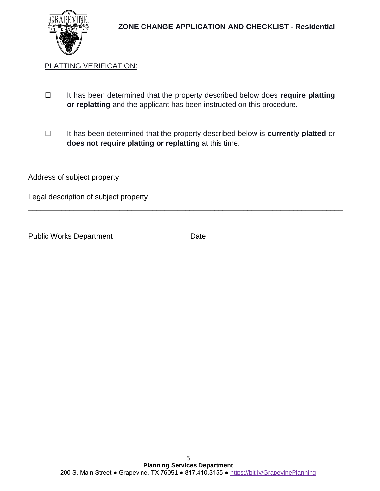# PLATTING VERIFICATION:

- **□** It has been determined that the property described below does **require platting or replatting** and the applicant has been instructed on this procedure.
- **□** It has been determined that the property described below is **currently platted** or **does not require platting or replatting** at this time.

| Address of subject property_ |  |  |  |
|------------------------------|--|--|--|
|                              |  |  |  |

\_\_\_\_\_\_\_\_\_\_\_\_\_\_\_\_\_\_\_\_\_\_\_\_\_\_\_\_\_\_\_\_\_\_\_\_\_\_\_\_\_\_\_\_\_\_\_\_\_\_\_\_\_\_\_\_\_\_\_\_\_\_\_\_\_\_\_\_\_\_\_\_\_\_\_\_

\_\_\_\_\_\_\_\_\_\_\_\_\_\_\_\_\_\_\_\_\_\_\_\_\_\_\_\_\_\_\_\_\_\_\_\_\_ \_\_\_\_\_\_\_\_\_\_\_\_\_\_\_\_\_\_\_\_\_\_\_\_\_\_\_\_\_\_\_\_\_\_\_\_\_

Legal description of subject property

Public Works Department Date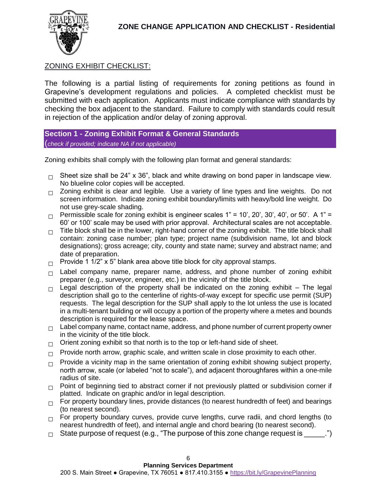

## ZONING EXHIBIT CHECKLIST:

The following is a partial listing of requirements for zoning petitions as found in Grapevine's development regulations and policies. A completed checklist must be submitted with each application. Applicants must indicate compliance with standards by checking the box adjacent to the standard. Failure to comply with standards could result in rejection of the application and/or delay of zoning approval.

**Section 1 - Zoning Exhibit Format & General Standards** (*check if provided; indicate NA if not applicable)*

Zoning exhibits shall comply with the following plan format and general standards:

- **□** Sheet size shall be 24" x 36", black and white drawing on bond paper in landscape view. No blueline color copies will be accepted.
- **□** Zoning exhibit is clear and legible. Use a variety of line types and line weights. Do not screen information. Indicate zoning exhibit boundary/limits with heavy/bold line weight. Do not use grey-scale shading.
- $\Box$  Permissible scale for zoning exhibit is engineer scales  $1" = 10'$ ,  $20'$ ,  $30'$ ,  $40'$ , or  $50'$ . A  $1" =$ 60' or 100' scale may be used with prior approval. Architectural scales are not acceptable.
- □ Title block shall be in the lower, right-hand corner of the zoning exhibit. The title block shall contain: zoning case number; plan type; project name (subdivision name, lot and block designations); gross acreage; city, county and state name; survey and abstract name; and date of preparation.
- □ Provide 1 1/2" x 5" blank area above title block for city approval stamps.
- □ Label company name, preparer name, address, and phone number of zoning exhibit preparer (e.g., surveyor, engineer, etc.) in the vicinity of the title block.
- □ Legal description of the property shall be indicated on the zoning exhibit The legal description shall go to the centerline of rights-of-way except for specific use permit (SUP) requests. The legal description for the SUP shall apply to the lot unless the use is located in a multi-tenant building or will occupy a portion of the property where a metes and bounds description is required for the lease space.
- □ Label company name, contact name, address, and phone number of current property owner in the vicinity of the title block.
- □ Orient zoning exhibit so that north is to the top or left-hand side of sheet.
- □ Provide north arrow, graphic scale, and written scale in close proximity to each other.
- □ Provide a vicinity map in the same orientation of zoning exhibit showing subject property, north arrow, scale (or labeled "not to scale"), and adjacent thoroughfares within a one-mile radius of site.
- □ Point of beginning tied to abstract corner if not previously platted or subdivision corner if platted. Indicate on graphic and/or in legal description.
- □ For property boundary lines, provide distances (to nearest hundredth of feet) and bearings (to nearest second).
- □ For property boundary curves, provide curve lengths, curve radii, and chord lengths (to nearest hundredth of feet), and internal angle and chord bearing (to nearest second).
- **□** State purpose of request (e.g., "The purpose of this zone change request is \_\_\_\_\_.")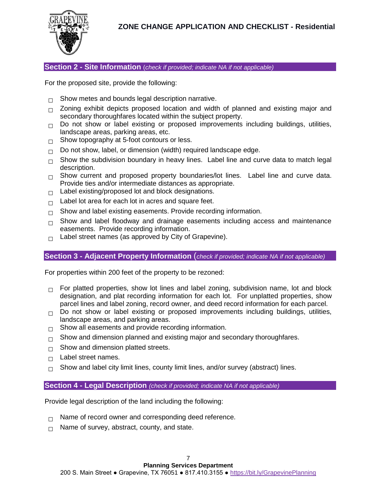

**Section 2 - Site Information** (*check if provided; indicate NA if not applicable)*

For the proposed site, provide the following:

- □ Show metes and bounds legal description narrative.
- □ Zoning exhibit depicts proposed location and width of planned and existing major and secondary thoroughfares located within the subject property.
- **□** Do not show or label existing or proposed improvements including buildings, utilities, landscape areas, parking areas, etc.
- □ Show topography at 5-foot contours or less.
- □ Do not show, label, or dimension (width) required landscape edge.
- □ Show the subdivision boundary in heavy lines. Label line and curve data to match legal description.
- □ Show current and proposed property boundaries/lot lines. Label line and curve data. Provide ties and/or intermediate distances as appropriate.
- **□** Label existing/proposed lot and block designations.
- **□** Label lot area for each lot in acres and square feet.
- □ Show and label existing easements. Provide recording information.
- □ Show and label floodway and drainage easements including access and maintenance easements. Provide recording information.
- **□** Label street names (as approved by City of Grapevine).

## **Section 3 - Adjacent Property Information** (*check if provided; indicate NA if not applicable)*

For properties within 200 feet of the property to be rezoned:

- □ For platted properties, show lot lines and label zoning, subdivision name, lot and block designation, and plat recording information for each lot. For unplatted properties, show parcel lines and label zoning, record owner, and deed record information for each parcel.
- **□** Do not show or label existing or proposed improvements including buildings, utilities, landscape areas, and parking areas.
- **□** Show all easements and provide recording information.
- □ Show and dimension planned and existing major and secondary thoroughfares.
- □ Show and dimension platted streets.
- □ Label street names.
- □ Show and label city limit lines, county limit lines, and/or survey (abstract) lines.

## **Section 4 - Legal Description** *(check if provided; indicate NA if not applicable)*

Provide legal description of the land including the following:

- □ Name of record owner and corresponding deed reference.
- □ Name of survey, abstract, county, and state.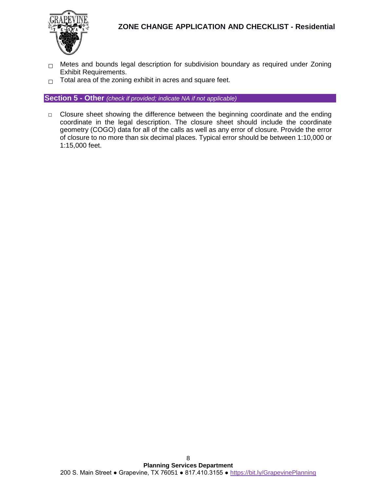

- □ Metes and bounds legal description for subdivision boundary as required under Zoning Exhibit Requirements.
- **□** Total area of the zoning exhibit in acres and square feet.

**Section 5 - Other** *(check if provided; indicate NA if not applicable)*

□ Closure sheet showing the difference between the beginning coordinate and the ending coordinate in the legal description. The closure sheet should include the coordinate geometry (COGO) data for all of the calls as well as any error of closure. Provide the error of closure to no more than six decimal places. Typical error should be between 1:10,000 or 1:15,000 feet.